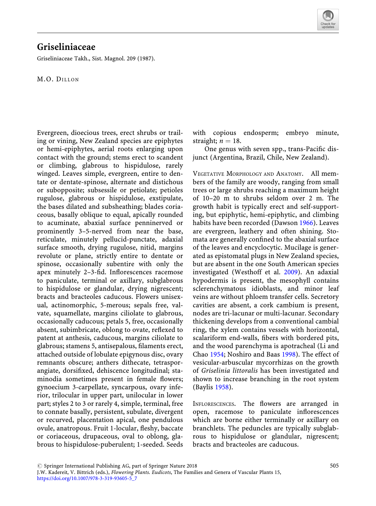

## Griseliniaceae

Griseliniaceae Takh., Sist. Magnol. 209 (1987).

M.O. DILLON

Evergreen, dioecious trees, erect shrubs or trailing or vining, New Zealand species are epiphytes or hemi-epiphytes, aerial roots enlarging upon contact with the ground; stems erect to scandent or climbing, glabrous to hispidulose, rarely winged. Leaves simple, evergreen, entire to dentate or dentate-spinose, alternate and distichous or subopposite; subsessile or petiolate; petioles rugulose, glabrous or hispidulose, exstipulate, the bases dilated and subsheathing; blades coriaceous, basally oblique to equal, apically rounded to acuminate, abaxial surface penninerved or prominently 3–5-nerved from near the base, reticulate, minutely pellucid-punctate, adaxial surface smooth, drying rugulose, nitid, margins revolute or plane, strictly entire to dentate or spinose, occasionally subentire with only the apex minutely 2–3-fid. Inflorescences racemose to paniculate, terminal or axillary, subglabrous to hispidulose or glandular, drying nigrescent; bracts and bracteoles caducous. Flowers unisexual, actinomorphic, 5-merous; sepals free, valvate, squamellate, margins ciliolate to glabrous, occasionally caducous; petals 5, free, occasionally absent, subimbricate, oblong to ovate, reflexed to patent at anthesis, caducous, margins ciliolate to glabrous; stamens 5, antisepalous, filaments erect, attached outside of lobulate epigynous disc, ovary remnants obscure; anthers dithecate, tetrasporangiate, dorsifixed, dehiscence longitudinal; staminodia sometimes present in female flowers; gynoecium 3-carpellate, syncarpous, ovary inferior, trilocular in upper part, unilocular in lower part; styles 2 to 3 or rarely 4, simple, terminal, free to connate basally, persistent, subulate, divergent or recurved, placentation apical, one pendulous ovule, anatropous. Fruit 1-locular, fleshy, baccate or coriaceous, drupaceous, oval to oblong, glabrous to hispidulose-puberulent; 1-seeded. Seeds

with copious endosperm; embryo minute, straight;  $n = 18$ .

One genus with seven spp., trans-Pacific disjunct (Argentina, Brazil, Chile, New Zealand).

VEGETATIVE MORPHOLOGY AND ANATOMY. All members of the family are woody, ranging from small trees or large shrubs reaching a maximum height of 10–20 m to shrubs seldom over 2 m. The growth habit is typically erect and self-supporting, but epiphytic, hemi-epiphytic, and climbing habits have been recorded (Dawson [1966\)](#page-3-0). Leaves are evergreen, leathery and often shining. Stomata are generally confined to the abaxial surface of the leaves and encyclocytic. Mucilage is generated as epistomatal plugs in New Zealand species, but are absent in the one South American species investigated (Westhoff et al. [2009](#page-4-0)). An adaxial hypodermis is present, the mesophyll contains sclerenchymatous idioblasts, and minor leaf veins are without phloem transfer cells. Secretory cavities are absent, a cork cambium is present, nodes are tri-lacunar or multi-lacunar. Secondary thickening develops from a conventional cambial ring, the xylem contains vessels with horizontal, scalariform end-walls, fibers with bordered pits, and the wood parenchyma is apotracheal (Li and Chao [1954;](#page-3-1) Noshiro and Baas [1998](#page-3-2)). The effect of vesicular-arbuscular mycorrhizas on the growth of Griselinia littoralis has been investigated and shown to increase branching in the root system (Baylis [1958](#page-3-3)).

INFLORESCENCES. The flowers are arranged in open, racemose to paniculate inflorescences which are borne either terminally or axillary on branchlets. The peduncles are typically subglabrous to hispidulose or glandular, nigrescent; bracts and bracteoles are caducous.

 $\circled{c}$  Springer International Publishing AG, part of Springer Nature 2018

J.W. Kadereit, V. Bittrich (eds.), Flowering Plants. Eudicots, The Families and Genera of Vascular Plants 15, [https://doi.org/10.1007/978-3-319-93605-5\\_7](https://doi.org/10.1007/978-3-319-93605-5_7)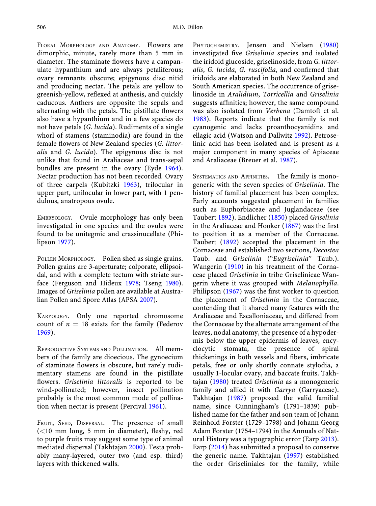FLORAL MORPHOLOGY AND ANATOMY. Flowers are dimorphic, minute, rarely more than 5 mm in diameter. The staminate flowers have a campanulate hypanthium and are always petaliferous; ovary remnants obscure; epigynous disc nitid and producing nectar. The petals are yellow to greenish-yellow, reflexed at anthesis, and quickly caducous. Anthers are opposite the sepals and alternating with the petals. The pistillate flowers also have a hypanthium and in a few species do not have petals (*G. lucida*). Rudiments of a single whorl of stamens (staminodia) are found in the female flowers of New Zealand species (G. littoralis and G. lucida). The epigynous disc is not unlike that found in Araliaceae and trans-sepal bundles are present in the ovary (Eyde [1964](#page-3-4)). Nectar production has not been recorded. Ovary of three carpels (Kubitzki [1963\)](#page-3-5), trilocular in upper part, unilocular in lower part, with 1 pendulous, anatropous ovule.

EMBRYOLOGY. Ovule morphology has only been investigated in one species and the ovules were found to be unitegmic and crassinucellate (Philipson [1977](#page-3-6)).

POLLEN MORPHOLOGY. Pollen shed as single grains. Pollen grains are 3-aperturate; colporate, ellipsoidal, and with a complete tectum with striate surface (Ferguson and Hideux [1978;](#page-3-7) Tseng [1980](#page-4-1)). Images of Griselinia pollen are available at Australian Pollen and Spore Atlas (APSA [2007](#page-3-8)).

KARYOLOGY. Only one reported chromosome count of  $n = 18$  exists for the family (Federov [1969\)](#page-3-9).

REPRODUCTIVE SYSTEMS AND POLLINATION. All members of the family are dioecious. The gynoecium of staminate flowers is obscure, but rarely rudimentary stamens are found in the pistillate flowers. Griselinia littoralis is reported to be wind-pollinated; however, insect pollination probably is the most common mode of pollination when nectar is present (Percival [1961](#page-3-10)).

FRUIT, SEED, DISPERSAL. The presence of small  $(<10$  mm long, 5 mm in diameter), fleshy, red to purple fruits may suggest some type of animal mediated dispersal (Takhtajan [2000\)](#page-4-2). Testa probably many-layered, outer two (and esp. third) layers with thickened walls.

PHYTOCHEMISTRY. Jensen and Nielsen [\(1980](#page-3-11)) investigated five Griselinia species and isolated the iridoid glucoside, griselinoside, from G. littoralis, G. lucida, G. ruscifolia, and confirmed that iridoids are elaborated in both New Zealand and South American species. The occurrence of griselinoside in Aralidium, Torricellia and Griselinia suggests affinities; however, the same compound was also isolated from Verbena (Damtoft et al. [1983\)](#page-3-12). Reports indicate that the family is not cyanogenic and lacks proanthocyanidins and ellagic acid (Watson and Dallwitz [1992\)](#page-4-3). Petroselinic acid has been isolated and is present as a major component in many species of Apiaceae and Araliaceae (Breuer et al. [1987\)](#page-3-13).

SYSTEMATICS AND AFFINITIES. The family is monogeneric with the seven species of Griselinia. The history of familial placement has been complex. Early accounts suggested placement in families such as Euphorbiaceae and Juglandaceae (see Taubert [1892](#page-4-4)). Endlicher [\(1850](#page-3-14)) placed Griselinia in the Araliaceae and Hooker [\(1867](#page-3-15)) was the first to position it as a member of the Cornaceae. Taubert [\(1892](#page-4-4)) accepted the placement in the Cornaceae and established two sections, Decostea Taub. and Griselinia ("Eugriselinia" Taub.). Wangerin ([1910\)](#page-4-5) in his treatment of the Cornaceae placed Griselinia in tribe Griselinieae Wangerin where it was grouped with Melanophylla. Philipson ([1967\)](#page-3-16) was the first worker to question the placement of Griselinia in the Cornaceae, contending that it shared many features with the Araliaceae and Escalloniaceae, and differed from the Cornaceae by the alternate arrangement of the leaves, nodal anatomy, the presence of a hypodermis below the upper epidermis of leaves, encyclocytic stomata, the presence of spiral thickenings in both vessels and fibers, imbricate petals, free or only shortly connate stylodia, a usually 1-locular ovary, and baccate fruits. Takhtajan [\(1980](#page-4-6)) treated Griselinia as a monogeneric family and allied it with Garrya (Garryaceae). Takhtajan ([1987\)](#page-4-7) proposed the valid familial name, since Cunningham's (1791–1839) published name for the father and son team of Johann Reinhold Forster (1729–1798) and Johann Georg Adam Forster (1754–1794) in the Annuals of Natural History was a typographic error (Earp [2013\)](#page-3-17). Earp [\(2014](#page-3-18)) has submitted a proposal to conserve the generic name. Takhtajan ([1997\)](#page-4-8) established the order Griseliniales for the family, while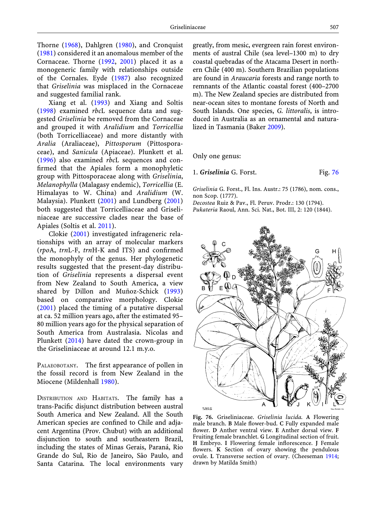Thorne ([1968\)](#page-4-9), Dahlgren [\(1980](#page-3-19)), and Cronquist ([1981\)](#page-3-6) considered it an anomalous member of the Cornaceae. Thorne [\(1992](#page-4-10), [2001\)](#page-4-11) placed it as a monogeneric family with relationships outside of the Cornales. Eyde [\(1987](#page-3-20)) also recognized that Griselinia was misplaced in the Cornaceae and suggested familial rank.

Xiang et al. [\(1993](#page-4-9)) and Xiang and Soltis  $(1998)$  $(1998)$  examined *rbcL* sequence data and suggested Griselinia be removed from the Cornaceae and grouped it with Aralidium and Torricellia (both Torricelliaceae) and more distantly with Aralia (Araliaceae), Pittosporum (Pittosporaceae), and Sanicula (Apiaceae). Plunkett et al. ([1996\)](#page-3-21) also examined rbcL sequences and confirmed that the Apiales form a monophyletic group with Pittosporaceae along with Griselinia, Melanophylla (Malagasy endemic), Torricellia (E. Himalayas to W. China) and Aralidium (W. Malaysia). Plunkett ([2001\)](#page-3-22) and Lundberg ([2001\)](#page-3-23) both suggested that Torricelliaceae and Griseliniaceae are successive clades near the base of Apiales (Soltis et al. [2011\)](#page-4-3).

<span id="page-2-0"></span>Clokie [\(2001](#page-3-24)) investigated infrageneric relationships with an array of molecular markers (rpoA, trnL-F, trnH-K and ITS) and confirmed the monophyly of the genus. Her phylogenetic results suggested that the present-day distribution of Griselinia represents a dispersal event from New Zealand to South America, a view shared by Dillon and Muñoz-Schick ([1993\)](#page-3-25) based on comparative morphology. Clokie ([2001\)](#page-3-24) placed the timing of a putative dispersal at ca. 52 million years ago, after the estimated 95– 80 million years ago for the physical separation of South America from Australasia. Nicolas and Plunkett ([2014\)](#page-3-26) have dated the crown-group in the Griseliniaceae at around 12.1 m.y.o.

PALAEOBOTANY. The first appearance of pollen in the fossil record is from New Zealand in the Miocene (Mildenhall [1980\)](#page-3-27).

DISTRIBUTION AND HABITATS. The family has a trans-Pacific disjunct distribution between austral South America and New Zealand. All the South American species are confined to Chile and adjacent Argentina (Prov. Chubut) with an additional disjunction to south and southeastern Brazil, including the states of Minas Gerais, Paraná, Rio Grande do Sul, Rio de Janeiro, São Paulo, and Santa Catarina. The local environments vary greatly, from mesic, evergreen rain forest environments of austral Chile (sea level–1300 m) to dry coastal quebradas of the Atacama Desert in northern Chile (400 m). Southern Brazilian populations are found in Araucaria forests and range north to remnants of the Atlantic coastal forest (400–2700 m). The New Zealand species are distributed from near-ocean sites to montane forests of North and South Islands. One species, G. littoralis, is introduced in Australia as an ornamental and naturalized in Tasmania (Baker [2009](#page-3-28)).

Only one genus:

1. Griselinia G. Forst. Fig. [76](#page-2-0)

Griselinia G. Forst., Fl. Ins. Austr.: 75 (1786), nom. cons., non Scop. (1777).

Decostea Ruiz & Pav., Fl. Peruv. Prodr.: 130 (1794).

Pukateria Raoul, Ann. Sci. Nat., Bot. III, 2: 120 (1844).



M. Sinch del<br>J. N. Firch lab

Fig. 76. Griseliniaceae. Griselinia lucida. A Flowering male branch. B Male flower-bud. C Fully expanded male flower. D Anther ventral view. E Anther dorsal view. F Fruiting female branchlet. G Longitudinal section of fruit. H Embryo. I Flowering female inflorescence. J Female flowers. K Section of ovary showing the pendulous ovule. L Transverse section of ovary. (Cheeseman [1914](#page-3-29); drawn by Matilda Smith)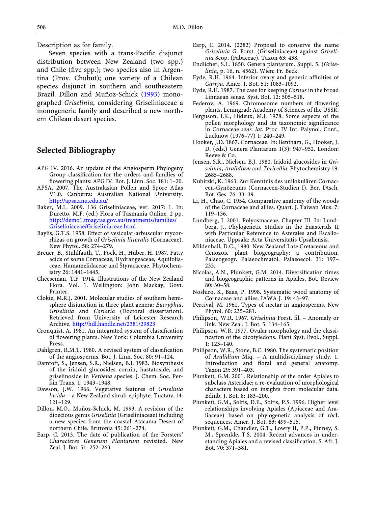<span id="page-3-18"></span>Description as for family.

<span id="page-3-20"></span><span id="page-3-14"></span><span id="page-3-4"></span>Seven species with a trans-Pacific disjunct distribution between New Zealand (two spp.) and Chile (five spp.); two species also in Argentina (Prov. Chubut); one variety of a Chilean species disjunct in southern and southeastern Brazil. Dillon and Muñoz-Schick [\(1993](#page-3-25)) monographed Griselinia, considering Griseliniaceae a monogeneric family and described a new northern Chilean desert species.

## <span id="page-3-15"></span><span id="page-3-9"></span><span id="page-3-7"></span>Selected Bibliography

- <span id="page-3-11"></span>APG IV. 2016. An update of the Angiosperm Phylogeny Group classification for the orders and families of flowering plants: APG IV. Bot. J. Linn. Soc. 181: 1–20.
- <span id="page-3-8"></span><span id="page-3-5"></span>APSA. 2007. The Australasian Pollen and Spore Atlas V1.0. Canberra: Australian National University. <http://apsa.anu.edu.au/>
- <span id="page-3-28"></span><span id="page-3-23"></span><span id="page-3-1"></span>Baker, M.L. 2009. 136 Griseliniaceae, ver. 2017: 1. In: Duretto, M.F. (ed.) Flora of Tasmania Online. 2 pp. [http://demo1.tmag.tas.gov.au/treatments/families/](http://demo1.tmag.tas.gov.au/treatments/families/Griseliniaceae/Griseliniaceae.html) [Griseliniaceae/Griseliniaceae.html](http://demo1.tmag.tas.gov.au/treatments/families/Griseliniaceae/Griseliniaceae.html)
- <span id="page-3-3"></span>Baylis, G.T.S. 1958. Effect of vesicular-arbuscular mycorrhizas on growth of Griselinia littoralis (Cornaceae). New Phytol. 58: 274–279.
- <span id="page-3-27"></span><span id="page-3-13"></span>Breuer, B., Stuhlfauth, T., Fock, H., Huber, H. 1987. Fatty acids of some Cornaceae, Hydrangeaceae, Aquifoliaceae, Hamamelidaceae and Styracaceae. Phytochemistry 26: 1441–1445.
- <span id="page-3-29"></span><span id="page-3-26"></span>Cheeseman, T.F. 1914. Illustrations of the New Zealand Flora. Vol. 1. Wellington: John Mackay, Govt. Printer.
- <span id="page-3-24"></span><span id="page-3-10"></span><span id="page-3-2"></span>Clokie, M.R.J. 2001. Molecular studies of southern hemisphere disjunction in three plant genera: Eucryphia, Griselinia and Coriaria (Doctoral dissertation). Retrieved from University of Leicester Research Archive. <http://hdl.handle.net/2381/29823>
- <span id="page-3-16"></span><span id="page-3-6"></span>Cronquist, A. 1981. An integrated system of classification of flowering plants. New York: Columbia University Press.
- <span id="page-3-19"></span>Dahlgren, R.M.T. 1980. A revised system of classification of the angiosperms. Bot. J. Linn. Soc. 80: 91–124.
- <span id="page-3-22"></span><span id="page-3-12"></span>Damtoft, S., Jensen, S.R., Nielsen, B.J. 1983. Biosynthesis of the iridoid glucosides cornin, hastatoside, and griselinoside in Verbena species. J. Chem. Soc. Perkin Trans. 1: 1943–1948.
- <span id="page-3-0"></span>Dawson, J.W. 1966. Vegetative features of Griselinia lucida – a New Zealand shrub epiphyte. Tuatara 14: 121–129.
- <span id="page-3-25"></span><span id="page-3-21"></span>Dillon, M.O., Muñoz-Schick, M. 1993. A revision of the dioecious genus Griselinia (Griseliniaceae) including a new species from the coastal Atacama Desert of northern Chile. Brittonia 45: 261–274.
- <span id="page-3-17"></span>Earp, C. 2013. The date of publication of the Forsters' Characteres Generum Plantarum revisited. New Zeal. J. Bot. 51: 252–263.
- Earp, C. 2014. (2282) Proposal to conserve the name Griselinia G. Forst. (Griseliniaceae) against Griselinia Scop. (Fabaceae). Taxon 63: 438.
- Endlicher, S.L. 1850. Genera plantarum. Suppl. 5. (Griselinia, p. 16, n. 4562). Wien: Fr. Beck.
- Eyde, R.H. 1964. Inferior ovary and generic affinities of Garrya. Amer. J. Bot. 51: 1083–1092.
- Eyde, R.H. 1987. The case for keeping Cornus in the broad Linnaean sense. Syst. Bot. 12: 505–518.
- Federov, A. 1969. Chromosome numbers of flowering plants. Leningrad: Academy of Sciences of the USSR.
- Ferguson, I.K., Hideux, M.J. 1978. Some aspects of the pollen morphology and its taxonomic significance in Cornaceae sens. lat. Proc. IV Int. Palynol. Conf., Lucknow (1976–77) 1: 240–249.
- Hooker, J.D. 1867. Cornaceae. In: Bentham, G., Hooker, J. D. (eds.) Genera Plantarum 1(3): 947–952. London: Reeve & Co.
- Jensen, S.R., Nielsen, B.J. 1980. Iridoid glucosides in Griselinia, Aralidium and Toricellia. Phytochemistry 19: 2685–2688.
- Kubitzki, K. 1963. Zur Kenntnis des unilokulären Cornaceen-Gynözeums (Cornaceen-Studien I). Ber. Dtsch. Bot. Ges. 76: 33–39.
- Li, H., Chao, C. 1954. Comparative anatomy of the woods of the Cornaceae and allies. Quart. J. Taiwan Mus. 7: 119–136.
- Lundberg, J. 2001. Polyosmaceae. Chapter III. In: Lundberg, J., Phylogenetic Studies in the Euasterids II with Particular Reference to Asterales and Escalloniaceae. Uppsala: Acta Universitatis Upsaliensis.
- Mildenhall, D.C., 1980. New Zealand Late Cretaceous and Cenozoic plant biogeography: a contribution. Palaeogeogr. Palaeoclimatol. Palaeoecol. 31: 197– 233.
- Nicolas, A.N., Plunkett, G.M. 2014. Diversification times and biogeographic patterns in Apiales. Bot. Review 80: 30–58.
- Noshiro, S., Baas, P. 1998. Systematic wood anatomy of Cornaceae and allies. IAWA J. 19: 43–97.
- Percival, M. 1961. Types of nectar in angiosperms. New Phytol. 60: 235–281.
- Philipson, W.R. 1967. Griselinia Forst. fil. Anomaly or link. New Zeal. J. Bot. 5: 134–165.
- Philipson, W.R. 1977. Ovular morphology and the classification of the dicotyledons. Plant Syst. Evol., Suppl. 1: 123–140.
- Philipson, W.R., Stone, B.C. 1980. The systematic position of Aralidium Miq. – A multidisciplinary study. 1. Introduction and floral and general anatomy. Taxon 29: 391–403.
- Plunkett, G.M. 2001. Relationship of the order Apiales to subclass Asteridae: a re-evaluation of morphological characters based on insights from molecular data. Edinb. J. Bot. 8: 183–200.
- Plunkett, G.M., Soltis, D.E., Soltis, P.S. 1996. Higher level relationships involving Apiales (Apiaceae and Araliaceae) based on phylogenetic analysis of rbcL sequences. Amer. J. Bot. 83: 499–515.
- Plunkett, G.M., Chandler, G.T., Lowry II, P.P., Pinney, S. M., Sprenkle, T.S. 2004. Recent advances in understanding Apiales and a revised classification. S. Afr. J. Bot. 70: 371–381.